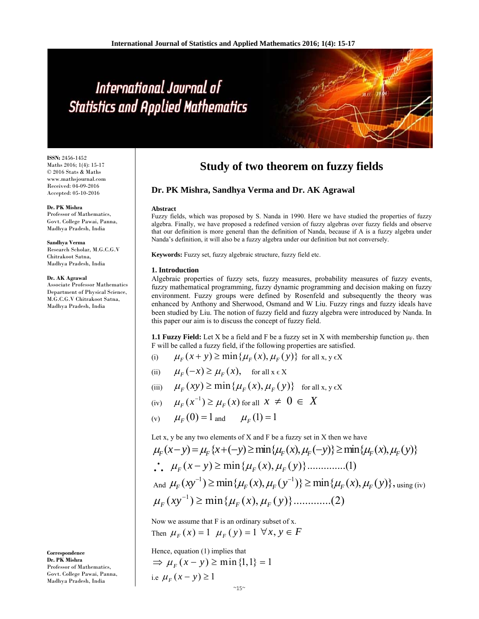# International Journal of **Statistics and Applied Mathematics**

**ISSN:** 2456-1452 Maths 2016; 1(4): 15-17  $\odot$  2016 Stats & Maths www.mathsjournal.com Received: 04-09-2016 Accepted: 05-10-2016

**Dr. PK Mishra** Professor of Mathematics, Govt. College Pawai, Panna, Madhya Pradesh, India

**Sandhya Verma**  Research Scholar, M.G.C.G.V Chitrakoot Satna, Madhya Pradesh, India

#### **Dr. AK Agrawal**

**Correspondence Dr. PK Mishra**

Professor of Mathematics, Govt. College Pawai, Panna, Madhya Pradesh, India

Associate Professor Mathematics Department of Physical Science, M.G.C.G.V Chitrakoot Satna, Madhya Pradesh, India

**Study of two theorem on fuzzy fields**

## **Dr. PK Mishra, Sandhya Verma and Dr. AK Agrawal**

#### **Abstract**

Fuzzy fields, which was proposed by S. Nanda in 1990. Here we have studied the properties of fuzzy algebra. Finally, we have proposed a redefined version of fuzzy algebras over fuzzy fields and observe that our definition is more general than the definition of Nanda, because if A is a fuzzy algebra under Nanda's definition, it will also be a fuzzy algebra under our definition but not conversely.

**Keywords:** Fuzzy set, fuzzy algebraic structure, fuzzy field etc.

### **1. Introduction**

Algebraic properties of fuzzy sets, fuzzy measures, probability measures of fuzzy events, fuzzy mathematical programming, fuzzy dynamic programming and decision making on fuzzy environment. Fuzzy groups were defined by Rosenfeld and subsequently the theory was enhanced by Anthony and Sherwood, Osmand and W Liu. Fuzzy rings and fuzzy ideals have been studied by Liu. The notion of fuzzy field and fuzzy algebra were introduced by Nanda. In this paper our aim is to discuss the concept of fuzzy field.

**1.1 Fuzzy Field:** Let X be a field and F be a fuzzy set in X with membership function  $\mu_F$ . then F will be called a fuzzy field, if the following properties are satisfied.

- (i)  $\mu_F(x+y) \ge \min\{ \mu_F(x), \mu_F(y) \}$  for all x, y EX
- (ii)  $\mu_F(-x) \geq \mu_F(x)$ , for all  $x \in X$
- (iii)  $\mu_F(xy) \ge \min\{ \mu_F(x), \mu_F(y) \}$  for all x, y EX
- (iv)  $\mu_{\varepsilon}(x^{-1}) \geq \mu_{\varepsilon}(x)$  for all  $x \neq 0 \in X$
- (v)  $\mu_F(0) = 1$  and  $\mu_F(1) = 1$

Let x, y be any two elements of  $X$  and  $F$  be a fuzzy set in  $X$  then we have

$$
\mu_F(x-y) = \mu_F \{x + (-y) \ge \min\{\mu_F(x), \mu_F(-y)\} \ge \min\{\mu_F(x), \mu_F(y)\}
$$
  
\n
$$
\therefore \mu_F(x-y) \ge \min\{\mu_F(x), \mu_F(y)\} \dots \dots \dots \dots (1)
$$
  
\nAnd  $\mu_F(xy^{-1}) \ge \min\{\mu_F(x), \mu_F(y^{-1})\} \ge \min\{\mu_F(x), \mu_F(y)\} \dots \dots \dots \dots (2)$ 

Now we assume that F is an ordinary subset of x. Then  $\mu_F(x) = 1$   $\mu_F(y) = 1 \ \forall x, y \in F$ 

Hence, equation (1) implies that  $\Rightarrow$   $\mu_F(x - y) \ge \min\{1,1\} = 1$ i.e  $\mu_{F} (x - y) \geq 1$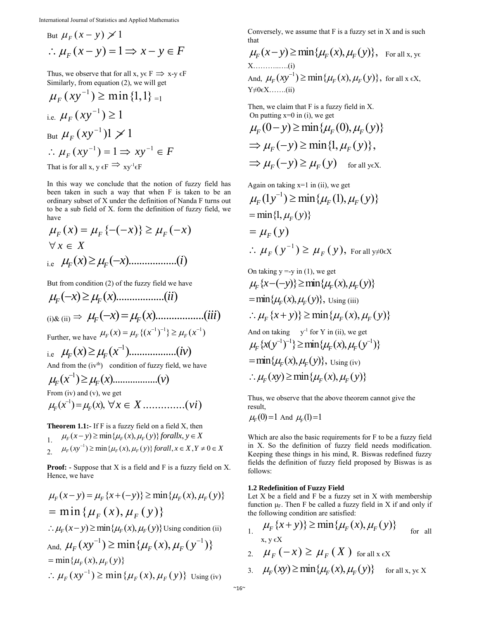International Journal of Statistics and Applied Mathematics

But 
$$
\mu_F(x - y) \ge 1
$$
  
\n $\therefore \mu_F(x - y) = 1 \Rightarrow x - y \in F$ 

Thus, we observe that for all x,  $y \in F \implies x-y \in F$ Similarly, from equation (2), we will get

$$
\mu_F(xy^{-1}) \ge \min\{1, 1\}_{=1}
$$
  
\ni.e.  $\mu_F(xy^{-1}) \ge 1$   
\nBut  $\mu_F(xy^{-1})1 \ge 1$   
\n $\therefore \mu_F(xy^{-1}) = 1 \Rightarrow xy^{-1} \in F$   
\nThat is for all x, y  $\in F \Rightarrow xy^{-1} \in F$ 

In this way we conclude that the notion of fuzzy field has been taken in such a way that when F is taken to be an ordinary subset of X under the definition of Nanda F turns out to be a sub field of X. form the definition of fuzzy field, we have

$$
\mu_F(x) = \mu_F\{-(-x)\} \ge \mu_F(-x)
$$
  
\n
$$
\forall x \in X
$$
  
\ni.e  $\mu_F(x) \ge \mu_F(-x)$ ............(i)

But from condition (2) of the fuzzy field we have

( ) ( )..................( ) *F F x x ii* (i)& (ii) ( ) ( )..................( ) *F F x x iii* Further, we have 11 1 ( ) {( ) } ( ) *FF F <sup>x</sup> x x* i.e <sup>1</sup> ( ) ( )..................( ) *F F x x iv* And from the (ivth) condition of fuzzy field, we have <sup>1</sup> ( ) ( )..................( ) *F F xx v*

From (iv) and (v), we get

<sup>1</sup> ( ) ( ), *F F <sup>x</sup> <sup>x</sup> x X vi* ..............( )

**Theorem 1.1:-** If F is a fuzzy field on a field X, then

 $\mu_F(x-y) \ge \min\{ \mu_F(x), \mu_F(y) \}$  forallx,  $y \in X$ 2.  $\mu_F(xy^{-1}) \ge \min\{\mu_F(x), \mu_F(y)\}$  forall,  $x \in X, Y \ne 0 \in X$ 

**Proof: -** Suppose that X is a field and F is a fuzzy field on X. Hence, we have

$$
\mu_F(x - y) = \mu_F \{x + (-y)\} \ge \min\{\mu_F(x), \mu_F(y)\}
$$
  
=  $\min \{ \mu_F(x), \mu_F(y) \}$   
 $\therefore \mu_F(x - y) \ge \min\{\mu_F(x), \mu_F(y)\}$  Using condition (ii)  
And,  $\mu_F(xy^{-1}) \ge \min\{\mu_F(x), \mu_F(y^{-1})\}$   
=  $\min\{\mu_F(x), \mu_F(y)\}$   
 $\therefore \mu_F(xy^{-1}) \ge \min\{\mu_F(x), \mu_F(y)\}$  Using (iv)

Conversely, we assume that F is a fuzzy set in X and is such that

$$
\mu_F(x-y) \ge \min{\{\mu_F(x), \mu_F(y)\}}, \text{ For all } x, y \in X
$$
  
X.............(i)  
And,  $\mu_F(xy^{-1}) \ge \min{\{\mu_F(x), \mu_F(y)\}}, \text{ for all } x \in X,$   
Y \ne 0 \in X.............(ii)

Then, we claim that F is a fuzzy field in X. On putting  $x=0$  in (i), we get

$$
\mu_F(0-y) \ge \min\{\mu_F(0), \mu_F(y)\}\
$$
  
\n
$$
\Rightarrow \mu_F(-y) \ge \min\{1, \mu_F(y)\},
$$
  
\n
$$
\Rightarrow \mu_F(-y) \ge \mu_F(y) \quad \text{for all yex.}
$$

Again on taking  $x=1$  in (ii), we get

$$
\mu_F(1y^{-1}) \ge \min\{\mu_F(1), \mu_F(y)\}
$$
  
= min{1,  $\mu_F(y)$ }  
=  $\mu_F(y)$   
 $\therefore \mu_F(y^{-1}) \ge \mu_F(y)$ , For all y=0 $\infty$ 

On taking y =-y in (1), we get  
\n
$$
\mu_F\{x-(-y)\}\geq \min{\{\mu_F(x), \mu_F(y)\}}
$$
\n
$$
= \min{\{\mu_F(x), \mu_F(y)\}}, \text{Using (iii)}
$$
\n
$$
\therefore \mu_F\{x+y\}\geq \min{\{\mu_F(x), \mu_F(y)\}}
$$
\nAnd on taking  $y^{-1}$  for Y in (ii), we get  
\n
$$
\mu_F\{x(y^{-1})^{-1}\}\geq \min{\{\mu_F(x), \mu_F(y^{-1})\}}
$$
\n
$$
= \min{\{\mu_F(x), \mu_F(y)\}}, \text{Using (iv)}
$$
\n
$$
\therefore \mu_F(xy) \geq \min{\{\mu_F(x), \mu_F(y)\}}
$$

Thus, we observe that the above theorem cannot give the result,

 $\mu_F(0) = 1$  And  $\mu_F(1) = 1$ 

Which are also the basic requirements for F to be a fuzzy field in X. So the definition of fuzzy field needs modification. Keeping these things in his mind, R. Biswas redefined fuzzy fields the definition of fuzzy field proposed by Biswas is as follows:

#### **1.2 Redefinition of Fuzzy Field**

Let  $X$  be a field and  $F$  be a fuzzy set in  $X$  with membership function  $\mu_F$ . Then F be called a fuzzy field in X if and only if the following condition are satisfied:

 $\mu_F \{x + y\} \ge \min\{ \mu_F(x), \mu_F(y) \}$  for all  $x, y \in X$ 2.  $\mu_F(-x) \geq \mu_F(X)$  for all  $x \in X$ 3.  $\mu_F(xy) \ge \min\{ \mu_F(x), \mu_F(y) \}$  for all x, ye X